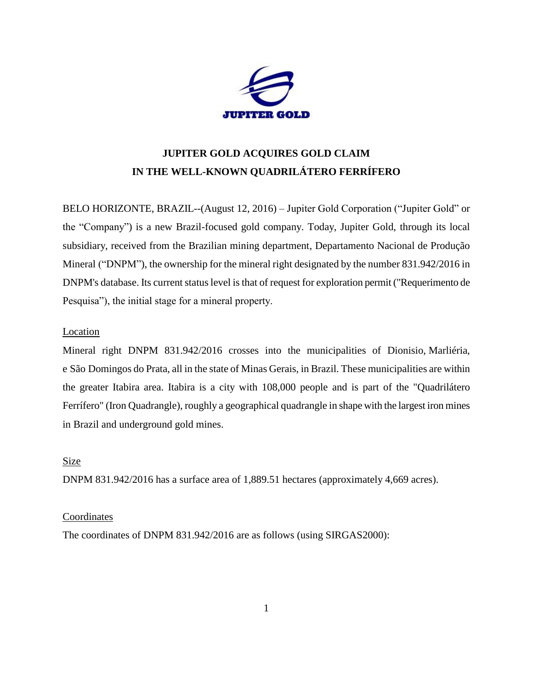

# **JUPITER GOLD ACQUIRES GOLD CLAIM IN THE WELL-KNOWN QUADRILÁTERO FERRÍFERO**

BELO HORIZONTE, BRAZIL--(August 12, 2016) – Jupiter Gold Corporation ("Jupiter Gold" or the "Company") is a new Brazil-focused gold company. Today, Jupiter Gold, through its local subsidiary, received from the Brazilian mining department, Departamento Nacional de Produção Mineral ("DNPM"), the ownership for the mineral right designated by the number 831.942/2016 in DNPM's database. Its current status level is that of request for exploration permit ("Requerimento de Pesquisa"), the initial stage for a mineral property.

# Location

Mineral right DNPM 831.942/2016 crosses into the municipalities of Dionisio, Marliéria, e São Domingos do Prata, all in the state of Minas Gerais, in Brazil. These municipalities are within the greater Itabira area. Itabira is a city with 108,000 people and is part of the "Quadrilátero Ferrífero" (Iron Quadrangle), roughly a geographical quadrangle in shape with the largest iron mines in Brazil and underground gold mines.

# Size

DNPM 831.942/2016 has a surface area of 1,889.51 hectares (approximately 4,669 acres).

## **Coordinates**

The coordinates of DNPM 831.942/2016 are as follows (using SIRGAS2000):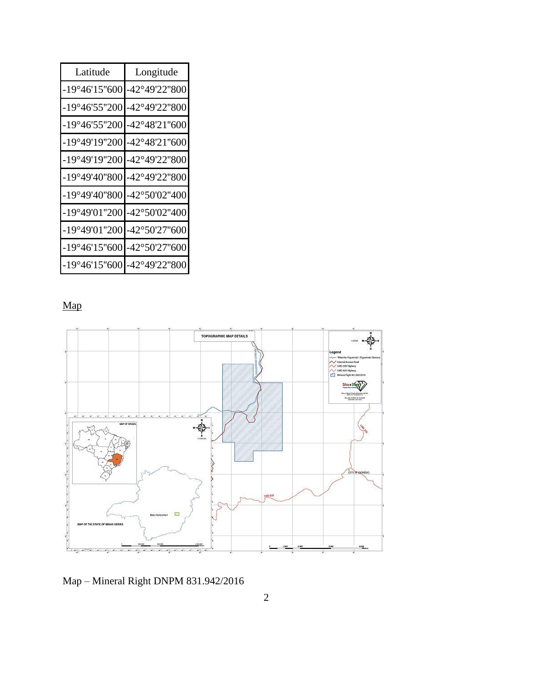| Latitude                    | Longitude              |
|-----------------------------|------------------------|
| $-19^{\circ}46'15''600$     | -42°49'22"800          |
| -19°46'55"200               | -42°49'22"800          |
| -19°46'55"200               | -42°48'21"600          |
| -19°49'19"200               | -42°48'21"600          |
| -19°49'19"200               | -42°49'22"800          |
| -19°49'40"800               | -42°49'22"800          |
| -19°49'40"800 -42°50'02"400 |                        |
| -19°49'01"200               | -42°50'02"400          |
| -19°49'01"200               | $-42^{\circ}50'27"600$ |
| $-19^{\circ}46'15''600$     | -42°50'27"600          |
| $-19^{\circ}46'15''600$     | -42°49'22"800          |

# Map



Map – Mineral Right DNPM 831.942/2016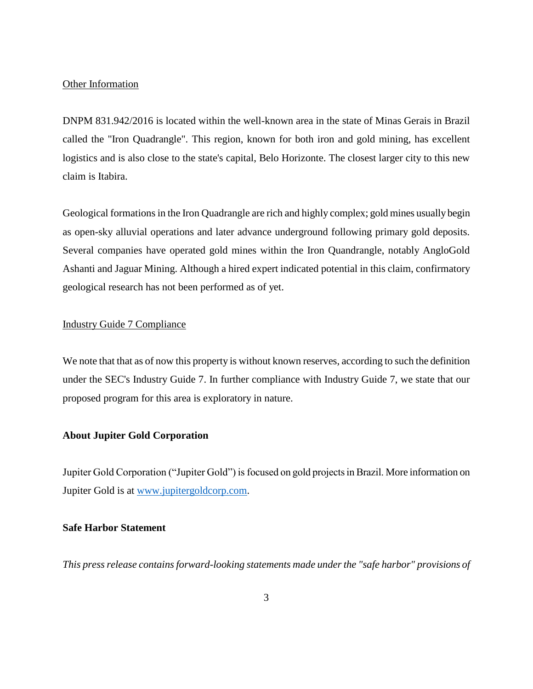#### Other Information

DNPM 831.942/2016 is located within the well-known area in the state of Minas Gerais in Brazil called the "Iron Quadrangle". This region, known for both iron and gold mining, has excellent logistics and is also close to the state's capital, Belo Horizonte. The closest larger city to this new claim is Itabira.

Geological formations in the Iron Quadrangle are rich and highly complex; gold mines usually begin as open-sky alluvial operations and later advance underground following primary gold deposits. Several companies have operated gold mines within the Iron Quandrangle, notably AngloGold Ashanti and Jaguar Mining. Although a hired expert indicated potential in this claim, confirmatory geological research has not been performed as of yet.

#### Industry Guide 7 Compliance

We note that that as of now this property is without known reserves, according to such the definition under the SEC's Industry Guide 7. In further compliance with Industry Guide 7, we state that our proposed program for this area is exploratory in nature.

# **About Jupiter Gold Corporation**

Jupiter Gold Corporation ("Jupiter Gold") is focused on gold projects in Brazil. More information on Jupiter Gold is at [www.jupitergoldcorp.com.](../../../../../../../../../../../../../../../Downloads/www.jupitergoldcorp.com)

#### **Safe Harbor Statement**

*This press release contains forward-looking statements made under the "safe harbor" provisions of*